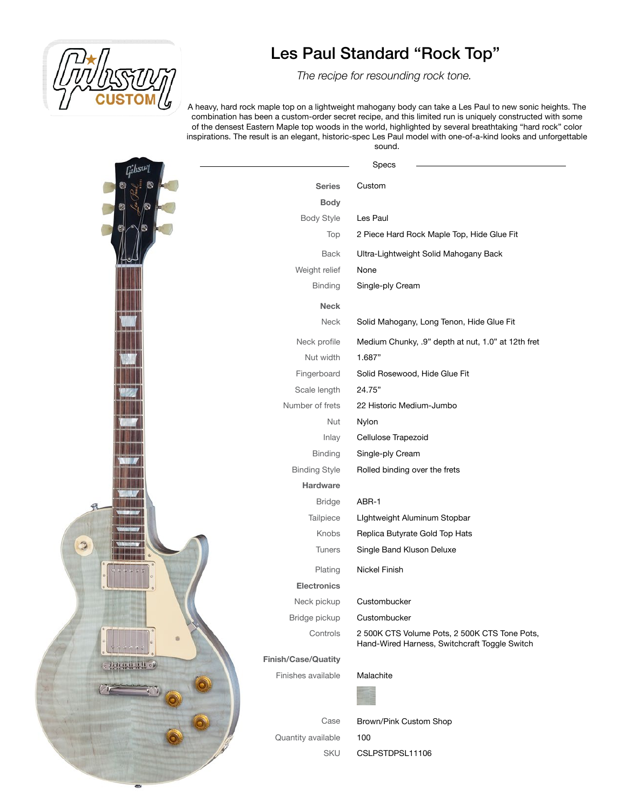

 *The recipe for resounding rock tone.* 

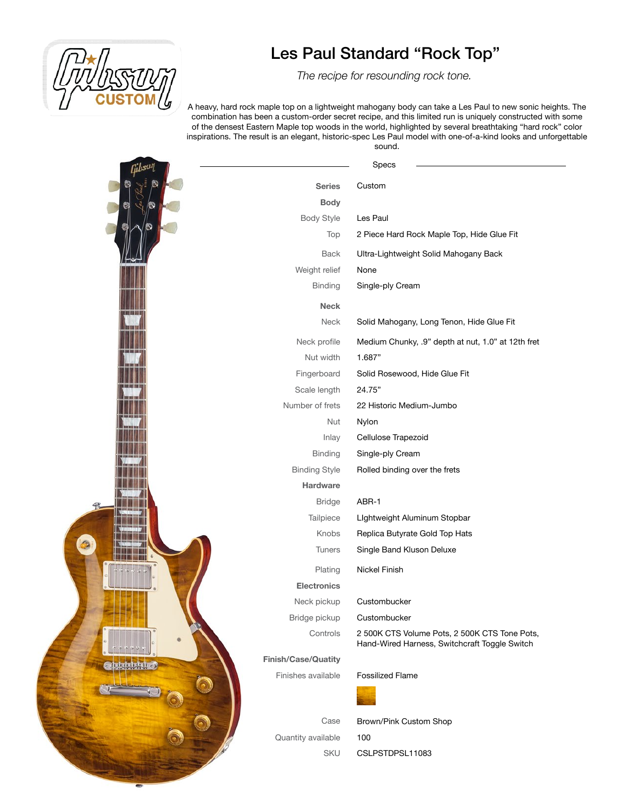

 *The recipe for resounding rock tone.* 

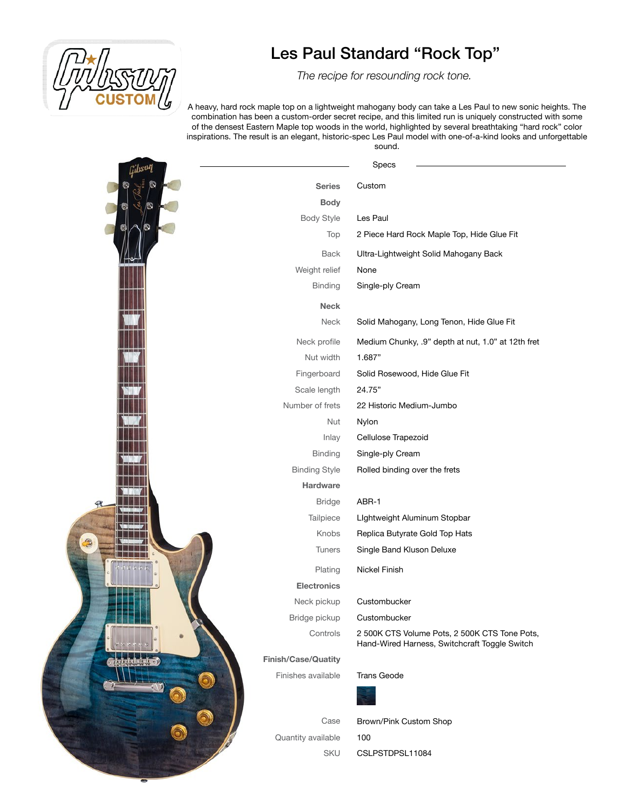

 *The recipe for resounding rock tone.*